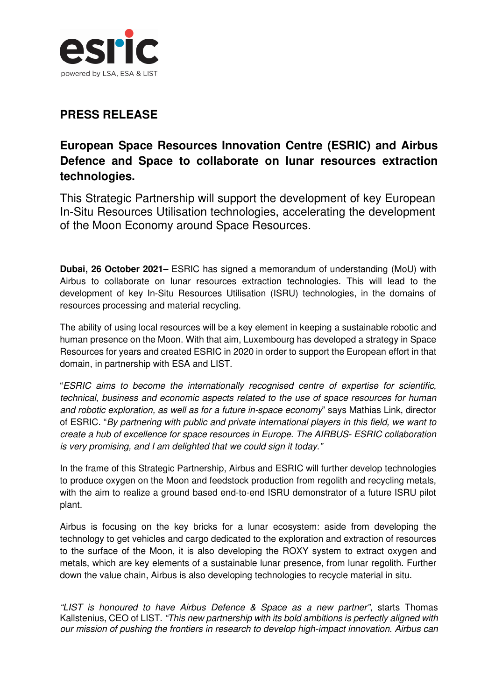

## **PRESS RELEASE**

## **European Space Resources Innovation Centre (ESRIC) and Airbus Defence and Space to collaborate on lunar resources extraction technologies.**

This Strategic Partnership will support the development of key European In-Situ Resources Utilisation technologies, accelerating the development of the Moon Economy around Space Resources.

**Dubai, 26 October 2021**– ESRIC has signed a memorandum of understanding (MoU) with Airbus to collaborate on lunar resources extraction technologies. This will lead to the development of key In-Situ Resources Utilisation (ISRU) technologies, in the domains of resources processing and material recycling.

The ability of using local resources will be a key element in keeping a sustainable robotic and human presence on the Moon. With that aim, Luxembourg has developed a strategy in Space Resources for years and created ESRIC in 2020 in order to support the European effort in that domain, in partnership with ESA and LIST.

"ESRIC aims to become the internationally recognised centre of expertise for scientific, technical, business and economic aspects related to the use of space resources for human and robotic exploration, as well as for a future in-space economy" says Mathias Link, director of ESRIC. "By partnering with public and private international players in this field, we want to create a hub of excellence for space resources in Europe. The AIRBUS- ESRIC collaboration is very promising, and I am delighted that we could sign it today."

In the frame of this Strategic Partnership, Airbus and ESRIC will further develop technologies to produce oxygen on the Moon and feedstock production from regolith and recycling metals, with the aim to realize a ground based end-to-end ISRU demonstrator of a future ISRU pilot plant.

Airbus is focusing on the key bricks for a lunar ecosystem: aside from developing the technology to get vehicles and cargo dedicated to the exploration and extraction of resources to the surface of the Moon, it is also developing the ROXY system to extract oxygen and metals, which are key elements of a sustainable lunar presence, from lunar regolith. Further down the value chain, Airbus is also developing technologies to recycle material in situ.

"LIST is honoured to have Airbus Defence & Space as a new partner", starts Thomas Kallstenius, CEO of LIST. "This new partnership with its bold ambitions is perfectly aligned with our mission of pushing the frontiers in research to develop high-impact innovation. Airbus can